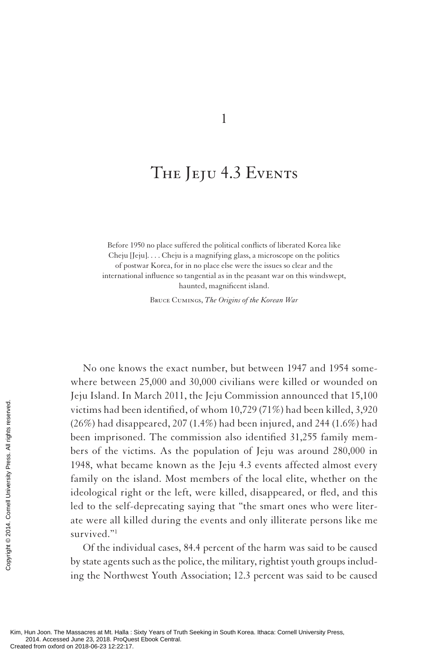# THE JEJU 4.3 EVENTS

Before 1950 no place suffered the political conflicts of liberated Korea like Cheju [Jeju]. . . . Cheju is a magnifying glass, a microscope on the politics of postwar Korea, for in no place else were the issues so clear and the international influence so tangential as in the peasant war on this windswept, haunted, magnificent island.

Bruce Cumings, *The Origins of the Korean War*

 No one knows the exact number, but between 1947 and 1954 somewhere between 25,000 and 30,000 civilians were killed or wounded on Jeju Island. In March 2011, the Jeju Commission announced that 15,100 victims had been identified, of whom  $10,729$  (71%) had been killed, 3,920 (26%) had disappeared, 207 (1.4%) had been injured, and 244 (1.6%) had been imprisoned. The commission also identified 31,255 family members of the victims. As the population of Jeju was around 280,000 in 1948, what became known as the Jeju 4.3 events affected almost every family on the island. Most members of the local elite, whether on the ideological right or the left, were killed, disappeared, or fled, and this led to the self-deprecating saying that "the smart ones who were literate were all killed during the events and only illiterate persons like me survived."<sup>1</sup> Exerces the victims had beed<br>  $(26\%)$  had disa<br>
been imprison<br>
bers of the vice<br>  $1948$ , what beed<br>
family on the<br>
ideological rig<br>
led to the self-<br>
ate were all kil<br>
survived."<br>
Of the indiv<br>
by state agents s<br>
ing the

 Of the individual cases, 84.4 percent of the harm was said to be caused by state agents such as the police, the military, rightist youth groups including the Northwest Youth Association; 12.3 percent was said to be caused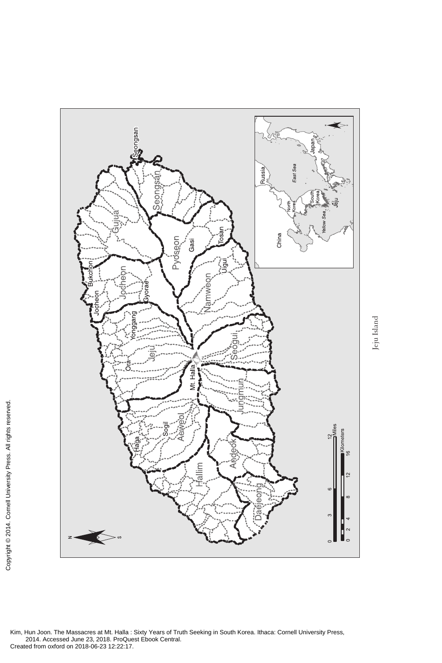

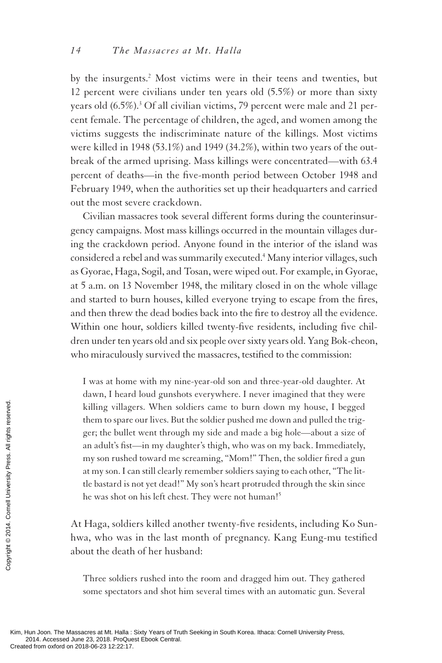by the insurgents.<sup>2</sup> Most victims were in their teens and twenties, but 12 percent were civilians under ten years old (5.5%) or more than sixty years old (6.5%).<sup>3</sup> Of all civilian victims, 79 percent were male and 21 percent female. The percentage of children, the aged, and women among the victims suggests the indiscriminate nature of the killings. Most victims were killed in 1948 (53.1%) and 1949 (34.2%), within two years of the outbreak of the armed uprising. Mass killings were concentrated—with 63.4 percent of deaths—in the five-month period between October 1948 and February 1949, when the authorities set up their headquarters and carried out the most severe crackdown.

 Civilian massacres took several different forms during the counterinsurgency campaigns. Most mass killings occurred in the mountain villages during the crackdown period. Anyone found in the interior of the island was considered a rebel and was summarily executed.<sup>4</sup> Many interior villages, such as Gyorae, Haga, Sogil, and Tosan, were wiped out. For example, in Gyorae, at 5 a.m. on 13 November 1948, the military closed in on the whole village and started to burn houses, killed everyone trying to escape from the fires, and then threw the dead bodies back into the fire to destroy all the evidence. Within one hour, soldiers killed twenty-five residents, including five children under ten years old and six people over sixty years old. Yang Bok-cheon, who miraculously survived the massacres, testified to the commission:

 I was at home with my nine-year-old son and three-year-old daughter. At dawn, I heard loud gunshots everywhere. I never imagined that they were killing villagers. When soldiers came to burn down my house, I begged them to spare our lives. But the soldier pushed me down and pulled the trigger; the bullet went through my side and made a big hole—about a size of an adult's fist—in my daughter's thigh, who was on my back. Immediately, my son rushed toward me screaming, "Mom!" Then, the soldier fired a gun at my son. I can still clearly remember soldiers saying to each other, "The little bastard is not yet dead!" My son's heart protruded through the skin since he was shot on his left chest. They were not human!<sup>5</sup> Exercise<br>
Exercise them to spare<br>
ger; the buller<br>
an adult's fist-<br>
my son rushed<br>
at my son. I ca<br>
the bastard is r<br>
the was shot of<br>
the was shot of<br>
At Haga, soldid<br>
hwa, who was<br>
about the death<br>
Three soldier<br>
some s

At Haga, soldiers killed another twenty-five residents, including Ko Sunhwa, who was in the last month of pregnancy. Kang Eung-mu testified about the death of her husband:

 Three soldiers rushed into the room and dragged him out. They gathered some spectators and shot him several times with an automatic gun. Several

Kim, Hun Joon. The Massacres at Mt. Halla : Sixty Years of Truth Seeking in South Korea. Ithaca: Cornell University Press, 2014. Accessed June 23, 2018. ProQuest Ebook Central.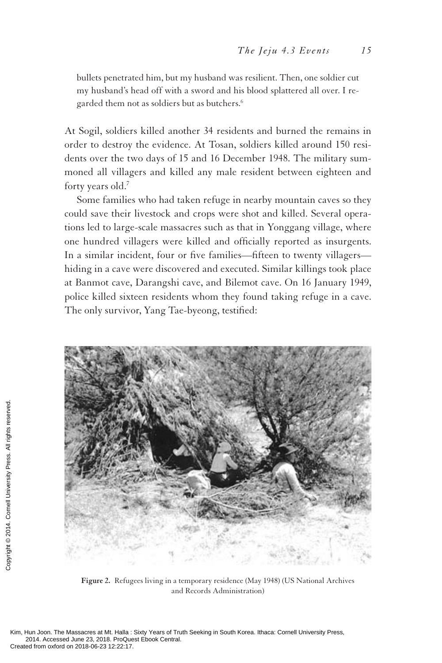bullets penetrated him, but my husband was resilient. Then, one soldier cut my husband's head off with a sword and his blood splattered all over. I regarded them not as soldiers but as butchers. 6

 At Sogil, soldiers killed another 34 residents and burned the remains in order to destroy the evidence. At Tosan, soldiers killed around 150 residents over the two days of 15 and 16 December 1948. The military summoned all villagers and killed any male resident between eighteen and forty years old.<sup>7</sup>

 Some families who had taken refuge in nearby mountain caves so they could save their livestock and crops were shot and killed. Several operations led to large-scale massacres such as that in Yonggang village, where one hundred villagers were killed and officially reported as insurgents. In a similar incident, four or five families—fifteen to twenty villagers hiding in a cave were discovered and executed. Similar killings took place at Banmot cave, Darangshi cave, and Bilemot cave. On 16 January 1949, police killed sixteen residents whom they found taking refuge in a cave. The only survivor, Yang Tae-byeong, testified:



Figure 2. Refugees living in a temporary residence (May 1948) (US National Archives and Records Administration)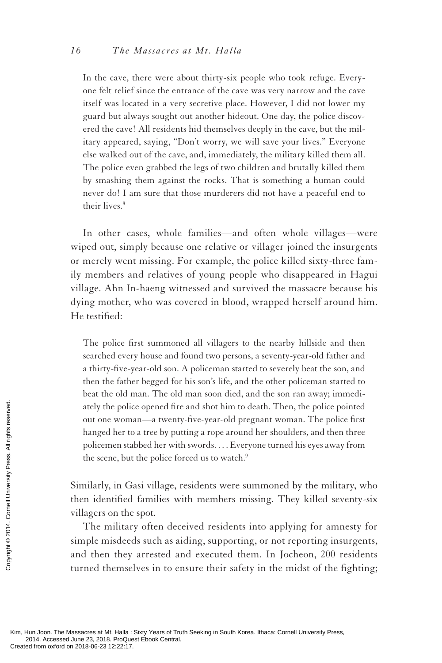In the cave, there were about thirty-six people who took refuge. Everyone felt relief since the entrance of the cave was very narrow and the cave itself was located in a very secretive place. However, I did not lower my guard but always sought out another hideout. One day, the police discovered the cave! All residents hid themselves deeply in the cave, but the military appeared, saying, "Don't worry, we will save your lives." Everyone else walked out of the cave, and, immediately, the military killed them all. The police even grabbed the legs of two children and brutally killed them by smashing them against the rocks. That is something a human could never do! I am sure that those murderers did not have a peaceful end to their lives. 8

 In other cases, whole families—and often whole villages—were wiped out, simply because one relative or villager joined the insurgents or merely went missing. For example, the police killed sixty-three family members and relatives of young people who disappeared in Hagui village. Ahn In-haeng witnessed and survived the massacre because his dying mother, who was covered in blood, wrapped herself around him. He testified:

The police first summoned all villagers to the nearby hillside and then searched every house and found two persons, a seventy-year-old father and a thirty-five-year-old son. A policeman started to severely beat the son, and then the father begged for his son's life, and the other policeman started to beat the old man. The old man soon died, and the son ran away; immediately the police opened fire and shot him to death. Then, the police pointed out one woman—a twenty-five-year-old pregnant woman. The police first hanged her to a tree by putting a rope around her shoulders, and then three policemen stabbed her with swords. . . . Everyone turned his eyes away from the scene, but the police forced us to watch.<sup>9</sup> Exercise<br>
Exercise the policion of women<br>
hanged her to<br>
policemen sta<br>
the scene, but<br>
signals of the scene, but<br>
Similarly, in G.<br>
Similarly, in G.<br>
then identified<br>
villagers on the<br>
The militar<br>
imple misdeed<br>
and then

 Similarly, in Gasi village, residents were summoned by the military, who then identified families with members missing. They killed seventy-six villagers on the spot.

 The military often deceived residents into applying for amnesty for simple misdeeds such as aiding, supporting, or not reporting insurgents, and then they arrested and executed them. In Jocheon, 200 residents turned themselves in to ensure their safety in the midst of the fighting;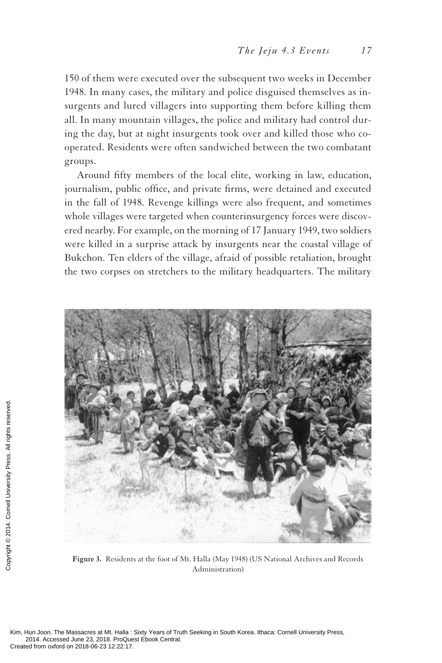150 of them were executed over the subsequent two weeks in December 1948. In many cases, the military and police disguised themselves as insurgents and lured villagers into supporting them before killing them all. In many mountain villages, the police and military had control during the day, but at night insurgents took over and killed those who cooperated. Residents were often sandwiched between the two combatant groups.

Around fifty members of the local elite, working in law, education, journalism, public office, and private firms, were detained and executed in the fall of 1948. Revenge killings were also frequent, and sometimes whole villages were targeted when counterinsurgency forces were discovered nearby. For example, on the morning of 17 January 1949, two soldiers were killed in a surprise attack by insurgents near the coastal village of Bukchon. Ten elders of the village, afraid of possible retaliation, brought the two corpses on stretchers to the military headquarters. The military



 **Figure 3 .** Residents at the foot of Mt. Halla (May 1948) (US National Archives and Records Administration)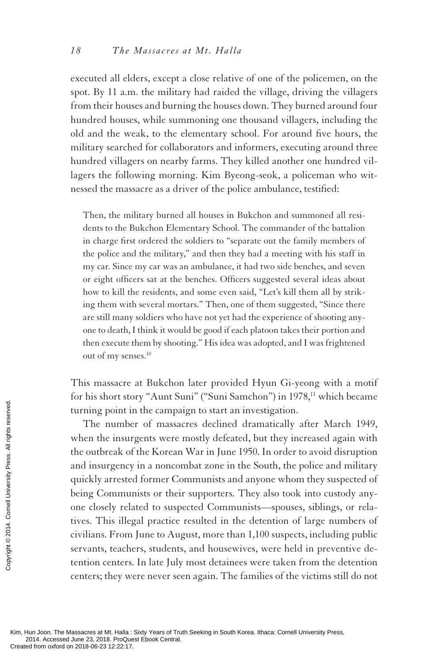executed all elders, except a close relative of one of the policemen, on the spot. By 11 a.m. the military had raided the village, driving the villagers from their houses and burning the houses down. They burned around four hundred houses, while summoning one thousand villagers, including the old and the weak, to the elementary school. For around five hours, the military searched for collaborators and informers, executing around three hundred villagers on nearby farms. They killed another one hundred villagers the following morning. Kim Byeong-seok, a policeman who witnessed the massacre as a driver of the police ambulance, testified:

 Then, the military burned all houses in Bukchon and summoned all residents to the Bukchon Elementary School. The commander of the battalion in charge first ordered the soldiers to "separate out the family members of the police and the military," and then they had a meeting with his staff in my car. Since my car was an ambulance, it had two side benches, and seven or eight officers sat at the benches. Officers suggested several ideas about how to kill the residents, and some even said, "Let's kill them all by striking them with several mortars." Then, one of them suggested, "Since there are still many soldiers who have not yet had the experience of shooting anyone to death, I think it would be good if each platoon takes their portion and then execute them by shooting." His idea was adopted, and I was frightened out of my senses.<sup>10</sup>

 This massacre at Bukchon later provided Hyun Gi-yeong with a motif for his short story "Aunt Suni" ("Suni Samchon") in 1978,<sup>11</sup> which became turning point in the campaign to start an investigation.

 The number of massacres declined dramatically after March 1949, when the insurgents were mostly defeated, but they increased again with the outbreak of the Korean War in June 1950. In order to avoid disruption and insurgency in a noncombat zone in the South, the police and military quickly arrested former Communists and anyone whom they suspected of being Communists or their supporters. They also took into custody anyone closely related to suspected Communists—spouses, siblings, or relatives. This illegal practice resulted in the detention of large numbers of civilians. From June to August, more than 1,100 suspects, including public servants, teachers, students, and housewives, were held in preventive detention centers. In late July most detainees were taken from the detention centers; they were never seen again. The families of the victims still do not Exercise turning point in<br>
The numbe<br>
when the insur<br>
the outbreak of<br>
and insurgency<br>
quickly arrested<br>
being Commun<br>
one closely rela<br>
tives. This illeg<br>
civilians. From<br>
servants, teach<br>
tention centers; they we<br>
center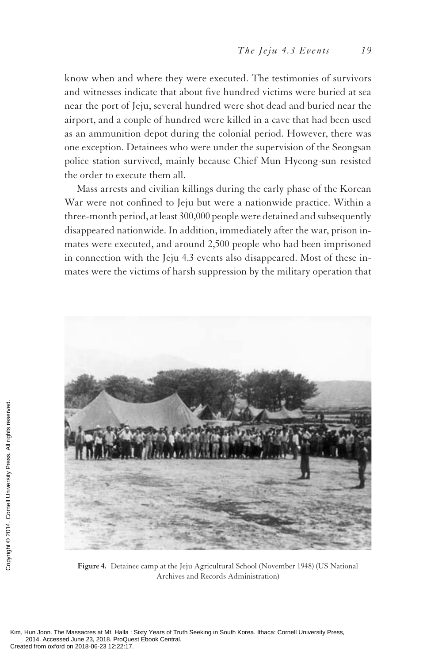know when and where they were executed. The testimonies of survivors and witnesses indicate that about five hundred victims were buried at sea near the port of Jeju, several hundred were shot dead and buried near the airport, and a couple of hundred were killed in a cave that had been used as an ammunition depot during the colonial period. However, there was one exception. Detainees who were under the supervision of the Seongsan police station survived, mainly because Chief Mun Hyeong-sun resisted the order to execute them all.

 Mass arrests and civilian killings during the early phase of the Korean War were not confined to Jeju but were a nationwide practice. Within a three-month period, at least 300,000 people were detained and subsequently disappeared nationwide. In addition, immediately after the war, prison inmates were executed, and around 2,500 people who had been imprisoned in connection with the Jeju 4.3 events also disappeared. Most of these inmates were the victims of harsh suppression by the military operation that



Figure 4. Detainee camp at the Jeju Agricultural School (November 1948) (US National Archives and Records Administration)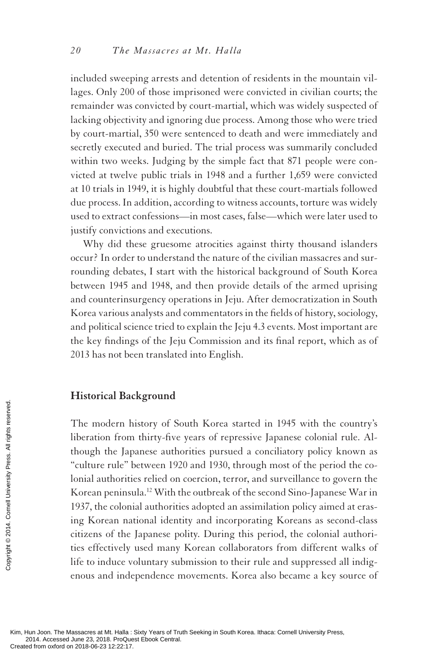included sweeping arrests and detention of residents in the mountain villages. Only 200 of those imprisoned were convicted in civilian courts; the remainder was convicted by court-martial, which was widely suspected of lacking objectivity and ignoring due process. Among those who were tried by court-martial, 350 were sentenced to death and were immediately and secretly executed and buried. The trial process was summarily concluded within two weeks. Judging by the simple fact that 871 people were convicted at twelve public trials in 1948 and a further 1,659 were convicted at 10 trials in 1949, it is highly doubtful that these court-martials followed due process. In addition, according to witness accounts, torture was widely used to extract confessions—in most cases, false—which were later used to justify convictions and executions.

 Why did these gruesome atrocities against thirty thousand islanders occur? In order to understand the nature of the civilian massacres and surrounding debates, I start with the historical background of South Korea between 1945 and 1948, and then provide details of the armed uprising and counterinsurgency operations in Jeju. After democratization in South Korea various analysts and commentators in the fields of history, sociology, and political science tried to explain the Jeju 4.3 events. Most important are the key findings of the Jeju Commission and its final report, which as of 2013 has not been translated into English.

## **Historical Background**

 The modern history of South Korea started in 1945 with the country's liberation from thirty-five years of repressive Japanese colonial rule. Although the Japanese authorities pursued a conciliatory policy known as "culture rule" between 1920 and 1930, through most of the period the colonial authorities relied on coercion, terror, and surveillance to govern the Korean peninsula. 12 With the outbreak of the second Sino-Japanese War in 1937, the colonial authorities adopted an assimilation policy aimed at erasing Korean national identity and incorporating Koreans as second-class citizens of the Japanese polity. During this period, the colonial authorities effectively used many Korean collaborators from different walks of life to induce voluntary submission to their rule and suppressed all indigenous and independence movements. Korea also became a key source of The modern h<br>
liberation from<br>
though the Jap<br>
"culture rule" l<br>
"culture rule" l<br>
lonial authoriti<br>
"Lonial authoritical<br>
"Lonial authoritical<br>
1937, the coloni<br>
ing Korean na<br>
citizens of the<br>
ties effectively<br>
life to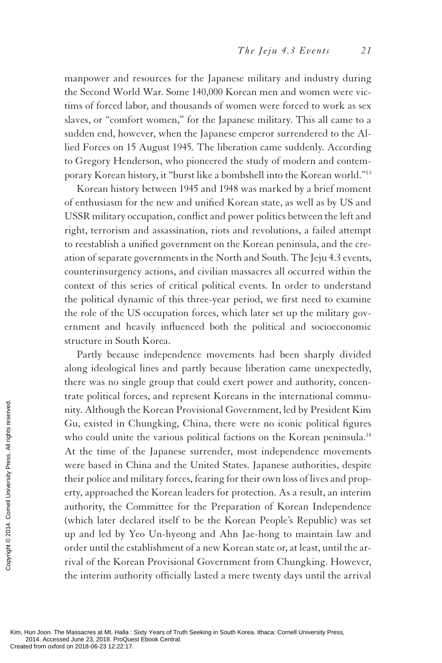manpower and resources for the Japanese military and industry during the Second World War. Some 140,000 Korean men and women were victims of forced labor, and thousands of women were forced to work as sex slaves, or "comfort women," for the Japanese military. This all came to a sudden end, however, when the Japanese emperor surrendered to the Allied Forces on 15 August 1945. The liberation came suddenly. According to Gregory Henderson, who pioneered the study of modern and contemporary Korean history, it "burst like a bombshell into the Korean world." 13

 Korean history between 1945 and 1948 was marked by a brief moment of enthusiasm for the new and unified Korean state, as well as by US and USSR military occupation, conflict and power politics between the left and right, terrorism and assassination, riots and revolutions, a failed attempt to reestablish a unified government on the Korean peninsula, and the creation of separate governments in the North and South. The Jeju 4.3 events, counterinsurgency actions, and civilian massacres all occurred within the context of this series of critical political events. In order to understand the political dynamic of this three-year period, we first need to examine the role of the US occupation forces, which later set up the military government and heavily influenced both the political and socioeconomic structure in South Korea.

 Partly because independence movements had been sharply divided along ideological lines and partly because liberation came unexpectedly, there was no single group that could exert power and authority, concentrate political forces, and represent Koreans in the international community. Although the Korean Provisional Government, led by President Kim Gu, existed in Chungking, China, there were no iconic political figures who could unite the various political factions on the Korean peninsula.<sup>14</sup> At the time of the Japanese surrender, most independence movements were based in China and the United States. Japanese authorities, despite their police and military forces, fearing for their own loss of lives and property, approached the Korean leaders for protection. As a result, an interim authority, the Committee for the Preparation of Korean Independence (which later declared itself to be the Korean People's Republic) was set up and led by Yeo Un-hyeong and Ahn Jae-hong to maintain law and order until the establishment of a new Korean state or, at least, until the arrival of the Korean Provisional Government from Chungking. However, the interim authority officially lasted a mere twenty days until the arrival From the set of the control of the correlation of the correlation of the correlation of their police and restrictly, approached authority, the C (which later decorpy and led by Y order until the ess rival of the Kore the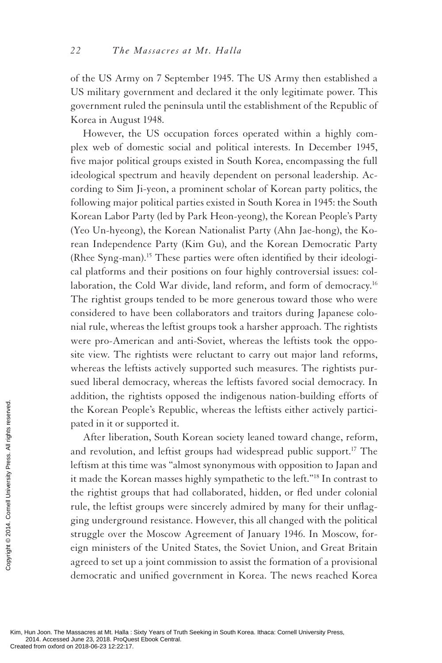of the US Army on 7 September 1945. The US Army then established a US military government and declared it the only legitimate power. This government ruled the peninsula until the establishment of the Republic of Korea in August 1948.

 However, the US occupation forces operated within a highly complex web of domestic social and political interests. In December 1945, five major political groups existed in South Korea, encompassing the full ideological spectrum and heavily dependent on personal leadership. According to Sim Ji-yeon, a prominent scholar of Korean party politics, the following major political parties existed in South Korea in 1945: the South Korean Labor Party (led by Park Heon-yeong), the Korean People's Party (Yeo Un-hyeong), the Korean Nationalist Party (Ahn Jae-hong), the Korean Independence Party (Kim Gu), and the Korean Democratic Party (Rhee Syng-man).<sup>15</sup> These parties were often identified by their ideological platforms and their positions on four highly controversial issues: collaboration, the Cold War divide, land reform, and form of democracy.<sup>16</sup> The rightist groups tended to be more generous toward those who were considered to have been collaborators and traitors during Japanese colonial rule, whereas the leftist groups took a harsher approach. The rightists were pro- American and anti-Soviet, whereas the leftists took the opposite view. The rightists were reluctant to carry out major land reforms, whereas the leftists actively supported such measures. The rightists pursued liberal democracy, whereas the leftists favored social democracy. In addition, the rightists opposed the indigenous nation-building efforts of the Korean People's Republic, whereas the leftists either actively participated in it or supported it.

 After liberation, South Korean society leaned toward change, reform, and revolution, and leftist groups had widespread public support.<sup>17</sup> The leftism at this time was "almost synonymous with opposition to Japan and it made the Korean masses highly sympathetic to the left."<sup>18</sup> In contrast to the rightist groups that had collaborated, hidden, or fled under colonial rule, the leftist groups were sincerely admired by many for their unflagging underground resistance. However, this all changed with the political struggle over the Moscow Agreement of January 1946. In Moscow, foreign ministers of the United States, the Soviet Union, and Great Britain agreed to set up a joint commission to assist the formation of a provisional democratic and unified government in Korea. The news reached Korea Exercise the Korean Pece pated in it or su<br>
After liberal<br>
and revolution<br>
leftism at this ti<br>
it made the Ko<br>
the rightist gro<br>
rule, the leftist<br>
ging undergrou<br>
struggle over t<br>
eign ministers<br>
agreed to set up<br>
democra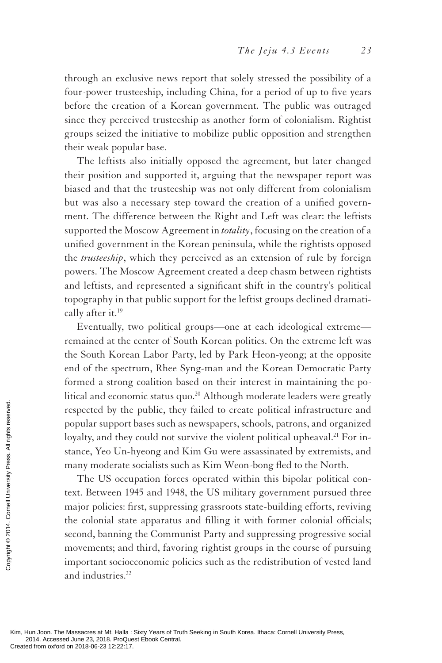through an exclusive news report that solely stressed the possibility of a four-power trusteeship, including China, for a period of up to five years before the creation of a Korean government. The public was outraged since they perceived trusteeship as another form of colonialism. Rightist groups seized the initiative to mobilize public opposition and strengthen their weak popular base.

 The leftists also initially opposed the agreement, but later changed their position and supported it, arguing that the newspaper report was biased and that the trusteeship was not only different from colonialism but was also a necessary step toward the creation of a unified government. The difference between the Right and Left was clear: the leftists supported the Moscow Agreement in *totality* , focusing on the creation of a unified government in the Korean peninsula, while the rightists opposed the *trusteeship*, which they perceived as an extension of rule by foreign powers. The Moscow Agreement created a deep chasm between rightists and leftists, and represented a significant shift in the country's political topography in that public support for the leftist groups declined dramatically after it.<sup>19</sup>

 Eventually, two political groups—one at each ideological extreme remained at the center of South Korean politics. On the extreme left was the South Korean Labor Party, led by Park Heon-yeong; at the opposite end of the spectrum, Rhee Syng-man and the Korean Democratic Party formed a strong coalition based on their interest in maintaining the political and economic status quo.<sup>20</sup> Although moderate leaders were greatly respected by the public, they failed to create political infrastructure and popular support bases such as newspapers, schools, patrons, and organized loyalty, and they could not survive the violent political upheaval.<sup>21</sup> For instance, Yeo Un-hyeong and Kim Gu were assassinated by extremists, and many moderate socialists such as Kim Weon-bong fled to the North.

 The US occupation forces operated within this bipolar political context. Between 1945 and 1948, the US military government pursued three major policies: first, suppressing grassroots state-building efforts, reviving the colonial state apparatus and filling it with former colonial officials; second, banning the Communist Party and suppressing progressive social movements; and third, favoring rightist groups in the course of pursuing important socioeconomic policies such as the redistribution of vested land and industries. 22 Example 1<br>
Expected by the<br>
popular support<br>
loyalty, and they<br>
stance, Yeo Un-1<br>
many moderate errors<br>
(The US occurries: fill<br>
the Colonial statt<br>
second, banning<br>
movements; and<br>
movements; and<br>
important socioe<br>
and i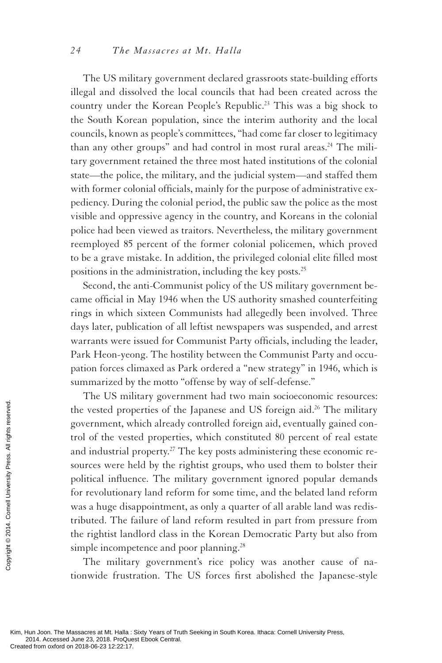The US military government declared grassroots state-building efforts illegal and dissolved the local councils that had been created across the country under the Korean People's Republic.<sup>23</sup> This was a big shock to the South Korean population, since the interim authority and the local councils, known as people's committees, "had come far closer to legitimacy than any other groups" and had control in most rural areas.<sup>24</sup> The military government retained the three most hated institutions of the colonial state—the police, the military, and the judicial system—and staffed them with former colonial officials, mainly for the purpose of administrative expediency. During the colonial period, the public saw the police as the most visible and oppressive agency in the country, and Koreans in the colonial police had been viewed as traitors. Nevertheless, the military government reemployed 85 percent of the former colonial policemen, which proved to be a grave mistake. In addition, the privileged colonial elite filled most positions in the administration, including the key posts. 25

 Second, the anti-Communist policy of the US military government became official in May 1946 when the US authority smashed counterfeiting rings in which sixteen Communists had allegedly been involved. Three days later, publication of all leftist newspapers was suspended, and arrest warrants were issued for Communist Party officials, including the leader, Park Heon-yeong. The hostility between the Communist Party and occupation forces climaxed as Park ordered a "new strategy" in 1946, which is summarized by the motto "offense by way of self-defense."

 The US military government had two main socioeconomic resources: the vested properties of the Japanese and US foreign aid.<sup>26</sup> The military government, which already controlled foreign aid, eventually gained control of the vested properties, which constituted 80 percent of real estate and industrial property.<sup>27</sup> The key posts administering these economic resources were held by the rightist groups, who used them to bolster their political influence. The military government ignored popular demands for revolutionary land reform for some time, and the belated land reform was a huge disappointment, as only a quarter of all arable land was redistributed. The failure of land reform resulted in part from pressure from the rightist landlord class in the Korean Democratic Party but also from simple incompetence and poor planning.<sup>28</sup> Fraction or  $\frac{1}{20}$  and industrial properties and industrial proverties and industrial proverties and industrial proverties are the political influer for revolutiona was a huge disactributed. The fight of the right of

 The military government's rice policy was another cause of nationwide frustration. The US forces first abolished the Japanese-style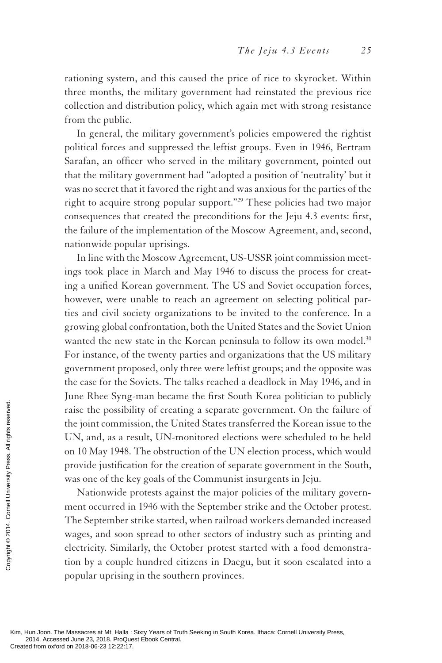rationing system, and this caused the price of rice to skyrocket. Within three months, the military government had reinstated the previous rice collection and distribution policy, which again met with strong resistance from the public.

 In general, the military government's policies empowered the rightist political forces and suppressed the leftist groups. Even in 1946, Bertram Sarafan, an officer who served in the military government, pointed out that the military government had "adopted a position of 'neutrality' but it was no secret that it favored the right and was anxious for the parties of the right to acquire strong popular support."<sup>29</sup> These policies had two major consequences that created the preconditions for the Jeju 4.3 events: first, the failure of the implementation of the Moscow Agreement, and, second, nationwide popular uprisings.

 In line with the Moscow Agreement, US-USSR joint commission meetings took place in March and May 1946 to discuss the process for creating a unified Korean government. The US and Soviet occupation forces, however, were unable to reach an agreement on selecting political parties and civil society organizations to be invited to the conference. In a growing global confrontation, both the United States and the Soviet Union wanted the new state in the Korean peninsula to follow its own model.<sup>30</sup> For instance, of the twenty parties and organizations that the US military government proposed, only three were leftist groups; and the opposite was the case for the Soviets. The talks reached a deadlock in May 1946, and in June Rhee Syng-man became the first South Korea politician to publicly raise the possibility of creating a separate government. On the failure of the joint commission, the United States transferred the Korean issue to the UN, and, as a result, UN-monitored elections were scheduled to be held on 10 May 1948. The obstruction of the UN election process, which would provide justification for the creation of separate government in the South, was one of the key goals of the Communist insurgents in Jeju.

 Nationwide protests against the major policies of the military government occurred in 1946 with the September strike and the October protest. The September strike started, when railroad workers demanded increased wages, and soon spread to other sectors of industry such as printing and electricity. Similarly, the October protest started with a food demonstration by a couple hundred citizens in Daegu, but it soon escalated into a popular uprising in the southern provinces. The second on 2018-06-23 12:22:17.<br>
Exerces a text on 2018 1948.<br>
The September of the k<br>
Nationwide p<br>
ment occurred in<br>
The September s<br>
wages, and soon<br>
electricity. Similiation by a couple<br>
popular uprising<br>
popular u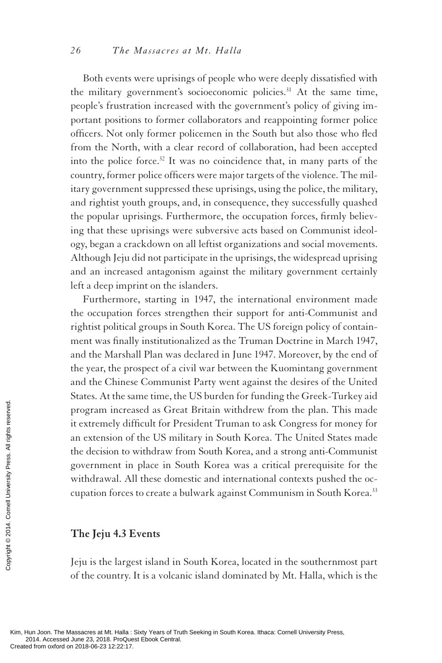Both events were uprisings of people who were deeply dissatisfied with the military government's socioeconomic policies.<sup>31</sup> At the same time, people's frustration increased with the government's policy of giving important positions to former collaborators and reappointing former police officers. Not only former policemen in the South but also those who fled from the North, with a clear record of collaboration, had been accepted into the police force.<sup>32</sup> It was no coincidence that, in many parts of the country, former police officers were major targets of the violence. The military government suppressed these uprisings, using the police, the military, and rightist youth groups, and, in consequence, they successfully quashed the popular uprisings. Furthermore, the occupation forces, firmly believing that these uprisings were subversive acts based on Communist ideology, began a crackdown on all leftist organizations and social movements. Although Jeju did not participate in the uprisings, the widespread uprising and an increased antagonism against the military government certainly left a deep imprint on the islanders.

 Furthermore, starting in 1947, the international environment made the occupation forces strengthen their support for anti-Communist and rightist political groups in South Korea. The US foreign policy of containment was finally institutionalized as the Truman Doctrine in March 1947, and the Marshall Plan was declared in June 1947. Moreover, by the end of the year, the prospect of a civil war between the Kuomintang government and the Chinese Communist Party went against the desires of the United States. At the same time, the US burden for funding the Greek-Turkey aid program increased as Great Britain withdrew from the plan. This made it extremely difficult for President Truman to ask Congress for money for an extension of the US military in South Korea. The United States made the decision to withdraw from South Korea, and a strong anti-Communist government in place in South Korea was a critical prerequisite for the withdrawal. All these domestic and international contexts pushed the occupation forces to create a bulwark against Communism in South Korea.<sup>33</sup> From oxford on 2018-06-23 12:22:17.<br>
Extremely different in the decision to be government in withdrawal. All cupation forces<br>
Separation forces<br>
Estated from oxford on 2018-06-23 12:22:17.<br>
Created from oxford on 2018-06-

#### **The Jeju 4.3 Events**

 Jeju is the largest island in South Korea, located in the southernmost part of the country. It is a volcanic island dominated by Mt. Halla, which is the

Kim, Hun Joon. The Massacres at Mt. Halla : Sixty Years of Truth Seeking in South Korea. Ithaca: Cornell University Press, 2014. Accessed June 23, 2018. ProQuest Ebook Central.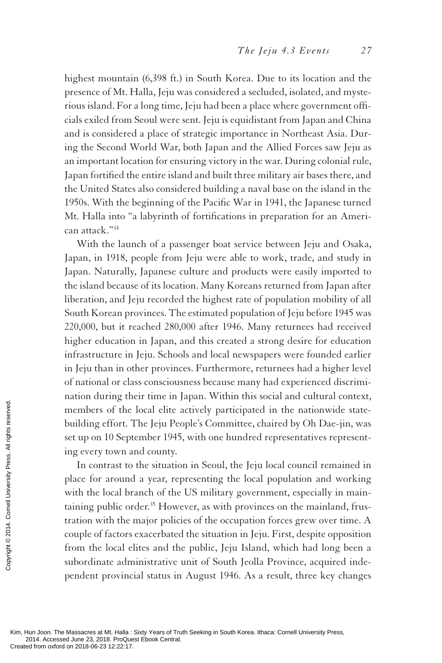highest mountain (6,398 ft.) in South Korea. Due to its location and the presence of Mt. Halla, Jeju was considered a secluded, isolated, and mysterious island. For a long time, Jeju had been a place where government offi cials exiled from Seoul were sent. Jeju is equidistant from Japan and China and is considered a place of strategic importance in Northeast Asia. During the Second World War, both Japan and the Allied Forces saw Jeju as an important location for ensuring victory in the war. During colonial rule, Japan fortified the entire island and built three military air bases there, and the United States also considered building a naval base on the island in the 1950s. With the beginning of the Pacific War in 1941, the Japanese turned Mt. Halla into "a labyrinth of fortifications in preparation for an American attack."<sup>34</sup>

 With the launch of a passenger boat service between Jeju and Osaka, Japan, in 1918, people from Jeju were able to work, trade, and study in Japan. Naturally, Japanese culture and products were easily imported to the island because of its location. Many Koreans returned from Japan after liberation, and Jeju recorded the highest rate of population mobility of all South Korean provinces. The estimated population of Jeju before 1945 was 220,000, but it reached 280,000 after 1946. Many returnees had received higher education in Japan, and this created a strong desire for education infrastructure in Jeju. Schools and local newspapers were founded earlier in Jeju than in other provinces. Furthermore, returnees had a higher level of national or class consciousness because many had experienced discrimination during their time in Japan. Within this social and cultural context, members of the local elite actively participated in the nationwide statebuilding effort. The Jeju People's Committee, chaired by Oh Dae-jin, was set up on 10 September 1945, with one hundred representatives representing every town and county.

 In contrast to the situation in Seoul, the Jeju local council remained in place for around a year, representing the local population and working with the local branch of the US military government, especially in maintaining public order.<sup>35</sup> However, as with provinces on the mainland, frustration with the major policies of the occupation forces grew over time. A couple of factors exacerbated the situation in Jeju. First, despite opposition from the local elites and the public, Jeju Island, which had long been a subordinate administrative unit of South Jeolla Province, acquired independent provincial status in August 1946. As a result, three key changes Exercise<br>
Exercise the building effort. The set up on 10 Sept<br>
ing every town a<br>
In contrast to<br>
place for arounce<br>
with the local br<br>
taining public or<br>
tration with the couple of factors<br>
from the local exerved.<br>
Exerge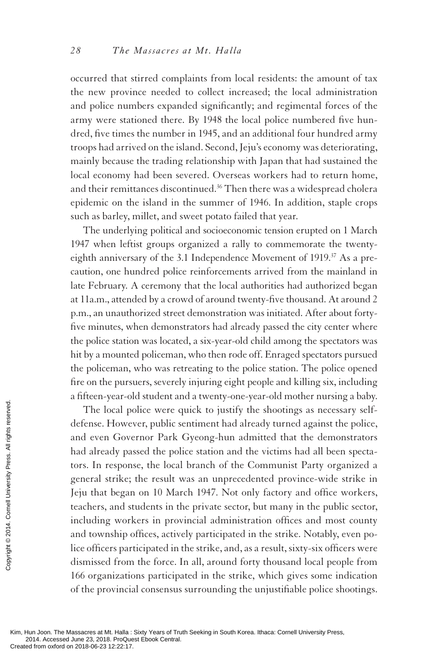occurred that stirred complaints from local residents: the amount of tax the new province needed to collect increased; the local administration and police numbers expanded significantly; and regimental forces of the army were stationed there. By 1948 the local police numbered five hundred, five times the number in 1945, and an additional four hundred army troops had arrived on the island. Second, Jeju's economy was deteriorating, mainly because the trading relationship with Japan that had sustained the local economy had been severed. Overseas workers had to return home, and their remittances discontinued.<sup>36</sup> Then there was a widespread cholera epidemic on the island in the summer of 1946. In addition, staple crops such as barley, millet, and sweet potato failed that year.

 The underlying political and socioeconomic tension erupted on 1 March 1947 when leftist groups organized a rally to commemorate the twentyeighth anniversary of the 3.1 Independence Movement of 1919.<sup>37</sup> As a precaution, one hundred police reinforcements arrived from the mainland in late February. A ceremony that the local authorities had authorized began at 11a.m., attended by a crowd of around twenty-five thousand. At around 2 p.m., an unauthorized street demonstration was initiated. After about fortyfive minutes, when demonstrators had already passed the city center where the police station was located, a six-year-old child among the spectators was hit by a mounted policeman, who then rode off. Enraged spectators pursued the policeman, who was retreating to the police station. The police opened fire on the pursuers, severely injuring eight people and killing six, including a fifteen-year-old student and a twenty-one-year-old mother nursing a baby.

 The local police were quick to justify the shootings as necessary selfdefense. However, public sentiment had already turned against the police, and even Governor Park Gyeong-hun admitted that the demonstrators had already passed the police station and the victims had all been spectators. In response, the local branch of the Communist Party organized a general strike; the result was an unprecedented province-wide strike in Jeju that began on 10 March 1947. Not only factory and office workers, teachers, and students in the private sector, but many in the public sector, including workers in provincial administration offices and most county and township offices, actively participated in the strike. Notably, even police officers participated in the strike, and, as a result, sixty-six officers were dismissed from the force. In all, around forty thousand local people from 166 organizations participated in the strike, which gives some indication of the provincial consensus surrounding the unjustifiable police shootings. The local point of the local point of the cornell of the state of the state of the state of the provincial rights reserved.<br>
Exerce the state of the provincial rights reserved. The mass reserved from the press. All rights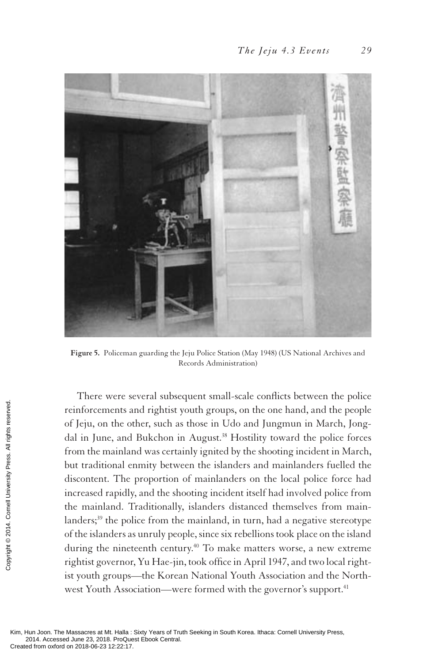

Figure 5. Policeman guarding the Jeju Police Station (May 1948) (US National Archives and Records Administration)

There were several subsequent small-scale conflicts between the police reinforcements and rightist youth groups, on the one hand, and the people of Jeju, on the other, such as those in Udo and Jungmun in March, Jongdal in June, and Bukchon in August.<sup>38</sup> Hostility toward the police forces from the mainland was certainly ignited by the shooting incident in March, but traditional enmity between the islanders and mainlanders fuelled the discontent. The proportion of mainlanders on the local police force had increased rapidly, and the shooting incident itself had involved police from the mainland. Traditionally, islanders distanced themselves from mainlanders;<sup>39</sup> the police from the mainland, in turn, had a negative stereotype of the islanders as unruly people, since six rebellions took place on the island during the nineteenth century.<sup>40</sup> To make matters worse, a new extreme rightist governor, Yu Hae-jin, took office in April 1947, and two local rightist youth groups—the Korean National Youth Association and the Northwest Youth Association—were formed with the governor's support.<sup>41</sup> From the mainland of Jeju, on the origins and from the mainland but traditional endiscontent. The increased rapidly the mainland. The increased rapidly the mainland. The increased rapidly the mainland. Thanders<sup>39</sup> the po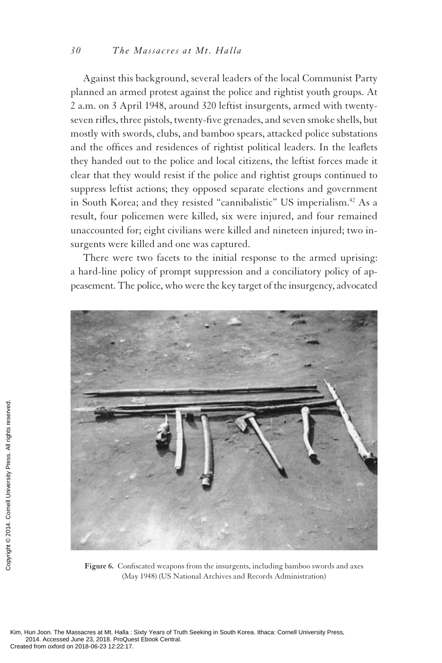## *30 The Massacres at Mt. Halla*

 Against this background, several leaders of the local Communist Party planned an armed protest against the police and rightist youth groups. At 2 a.m. on 3 April 1948, around 320 leftist insurgents, armed with twentyseven rifles, three pistols, twenty-five grenades, and seven smoke shells, but mostly with swords, clubs, and bamboo spears, attacked police substations and the offices and residences of rightist political leaders. In the leaflets they handed out to the police and local citizens, the leftist forces made it clear that they would resist if the police and rightist groups continued to suppress leftist actions; they opposed separate elections and government in South Korea; and they resisted "cannibalistic" US imperialism.<sup>42</sup> As a result, four policemen were killed, six were injured, and four remained unaccounted for; eight civilians were killed and nineteen injured; two insurgents were killed and one was captured.

 There were two facets to the initial response to the armed uprising: a hard-line policy of prompt suppression and a conciliatory policy of appeasement. The police, who were the key target of the insurgency, advocated



Figure 6. Confiscated weapons from the insurgents, including bamboo swords and axes (May 1948) (US National Archives and Records Administration)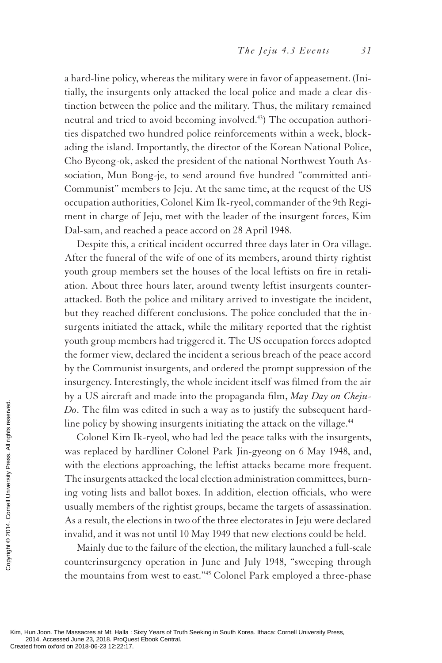a hard-line policy, whereas the military were in favor of appeasement. (Initially, the insurgents only attacked the local police and made a clear distinction between the police and the military. Thus, the military remained neutral and tried to avoid becoming involved.<sup>43</sup>) The occupation authorities dispatched two hundred police reinforcements within a week, blockading the island. Importantly, the director of the Korean National Police, Cho Byeong-ok, asked the president of the national Northwest Youth Association, Mun Bong-je, to send around five hundred "committed anti-Communist" members to Jeju. At the same time, at the request of the US occupation authorities, Colonel Kim Ik-ryeol, commander of the 9th Regiment in charge of Jeju, met with the leader of the insurgent forces, Kim Dal-sam, and reached a peace accord on 28 April 1948.

 Despite this, a critical incident occurred three days later in Ora village. After the funeral of the wife of one of its members, around thirty rightist youth group members set the houses of the local leftists on fire in retaliation. About three hours later, around twenty leftist insurgents counter attacked. Both the police and military arrived to investigate the incident, but they reached different conclusions. The police concluded that the insurgents initiated the attack, while the military reported that the rightist youth group members had triggered it. The US occupation forces adopted the former view, declared the incident a serious breach of the peace accord by the Communist insurgents, and ordered the prompt suppression of the insurgency. Interestingly, the whole incident itself was filmed from the air by a US aircraft and made into the propaganda film, *May Day on Cheju-Do*. The film was edited in such a way as to justify the subsequent hardline policy by showing insurgents initiating the attack on the village.<sup>44</sup>

 Colonel Kim Ik-ryeol, who had led the peace talks with the insurgents, was replaced by hardliner Colonel Park Jin-gyeong on 6 May 1948, and, with the elections approaching, the leftist attacks became more frequent. The insurgents attacked the local election administration committees, burning voting lists and ballot boxes. In addition, election officials, who were usually members of the rightist groups, became the targets of assassination. As a result, the elections in two of the three electorates in Jeju were declared invalid, and it was not until 10 May 1949 that new elections could be held. From our Created from oxford on 2018-06-23 12:22:17.<br>
Created from oxford on 2018-06-23 12:22:17.<br>
Example  $\frac{25}{25}$  and  $\frac{25}{25}$  are such the election<br>
The insurgents all ing voting lists a<br>
usually members<br>
As a re

 Mainly due to the failure of the election, the military launched a full-scale counterinsurgency operation in June and July 1948, "sweeping through the mountains from west to east."<sup>45</sup> Colonel Park employed a three-phase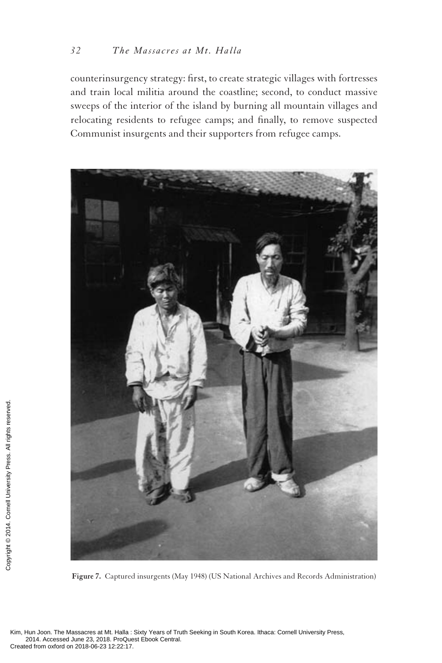counterinsurgency strategy: first, to create strategic villages with fortresses and train local militia around the coastline; second, to conduct massive sweeps of the interior of the island by burning all mountain villages and relocating residents to refugee camps; and finally, to remove suspected Communist insurgents and their supporters from refugee camps.



Figure 7. Captured insurgents (May 1948) (US National Archives and Records Administration)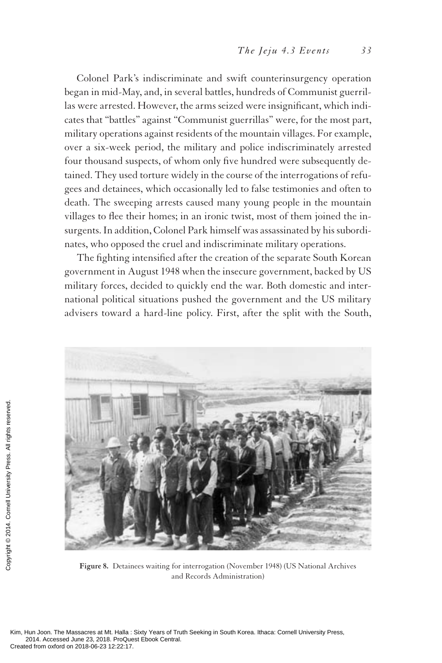Colonel Park's indiscriminate and swift counterinsurgency operation began in mid-May, and, in several battles, hundreds of Communist guerrillas were arrested. However, the arms seized were insignificant, which indicates that "battles" against "Communist guerrillas" were, for the most part, military operations against residents of the mountain villages. For example, over a six-week period, the military and police indiscriminately arrested four thousand suspects, of whom only five hundred were subsequently detained. They used torture widely in the course of the interrogations of refugees and detainees, which occasionally led to false testimonies and often to death. The sweeping arrests caused many young people in the mountain villages to flee their homes; in an ironic twist, most of them joined the insurgents. In addition, Colonel Park himself was assassinated by his subordinates, who opposed the cruel and indiscriminate military operations.

The fighting intensified after the creation of the separate South Korean government in August 1948 when the insecure government, backed by US military forces, decided to quickly end the war. Both domestic and international political situations pushed the government and the US military advisers toward a hard-line policy. First, after the split with the South,



Figure 8. Detainees waiting for interrogation (November 1948) (US National Archives and Records Administration)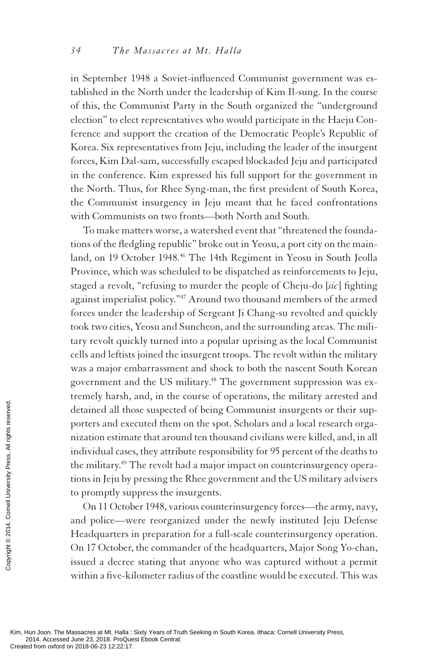in September 1948 a Soviet-influenced Communist government was established in the North under the leadership of Kim Il-sung. In the course of this, the Communist Party in the South organized the "underground election" to elect representatives who would participate in the Haeju Conference and support the creation of the Democratic People's Republic of Korea. Six representatives from Jeju, including the leader of the insurgent forces, Kim Dal-sam, successfully escaped blockaded Jeju and participated in the conference. Kim expressed his full support for the government in the North. Thus, for Rhee Syng-man, the first president of South Korea, the Communist insurgency in Jeju meant that he faced confrontations with Communists on two fronts—both North and South.

 To make matters worse, a watershed event that "threatened the foundations of the fledgling republic" broke out in Yeosu, a port city on the mainland, on 19 October 1948.<sup>46</sup> The 14th Regiment in Yeosu in South Jeolla Province, which was scheduled to be dispatched as reinforcements to Jeju, staged a revolt, "refusing to murder the people of Cheju-do [sic] fighting against imperialist policy."<sup>47</sup> Around two thousand members of the armed forces under the leadership of Sergeant Ji Chang-su revolted and quickly took two cities, Yeosu and Suncheon, and the surrounding areas. The military revolt quickly turned into a popular uprising as the local Communist cells and leftists joined the insurgent troops. The revolt within the military was a major embarrassment and shock to both the nascent South Korean government and the US military.<sup>48</sup> The government suppression was extremely harsh, and, in the course of operations, the military arrested and detained all those suspected of being Communist insurgents or their supporters and executed them on the spot. Scholars and a local research organization estimate that around ten thousand civilians were killed, and, in all individual cases, they attribute responsibility for 95 percent of the deaths to the military.<sup>49</sup> The revolt had a major impact on counterinsurgency operations in Jeju by pressing the Rhee government and the US military advisers to promptly suppress the insurgents. Exercise detained all the<br>protters and exercized individual cases<br>individual cases<br>the military.<sup>49</sup><br>tions in Jeju by<br>to promptly sup<br>On 11 Octob<br>and police—we Headquarters in On 17 October,<br>issued a decree<br>within a five-k

 On 11 October 1948, various counterinsurgency forces—the army, navy, and police—were reorganized under the newly instituted Jeju Defense Headquarters in preparation for a full-scale counterinsurgency operation. On 17 October, the commander of the headquarters, Major Song Yo-chan, issued a decree stating that anyone who was captured without a permit within a five-kilometer radius of the coastline would be executed. This was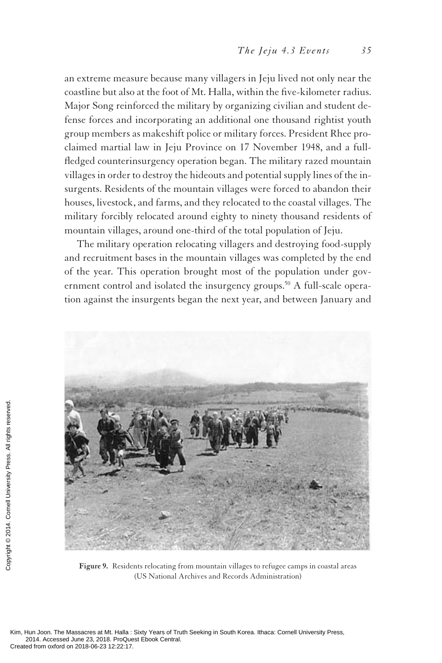an extreme measure because many villagers in Jeju lived not only near the coastline but also at the foot of Mt. Halla, within the five-kilometer radius. Major Song reinforced the military by organizing civilian and student defense forces and incorporating an additional one thousand rightist youth group members as makeshift police or military forces. President Rhee proclaimed martial law in Jeju Province on 17 November 1948, and a fullfledged counterinsurgency operation began. The military razed mountain villages in order to destroy the hideouts and potential supply lines of the insurgents. Residents of the mountain villages were forced to abandon their houses, livestock, and farms, and they relocated to the coastal villages. The military forcibly relocated around eighty to ninety thousand residents of mountain villages, around one-third of the total population of Jeju.

 The military operation relocating villagers and destroying food-supply and recruitment bases in the mountain villages was completed by the end of the year. This operation brought most of the population under government control and isolated the insurgency groups.<sup>50</sup> A full-scale operation against the insurgents began the next year, and between January and



Figure 9. Residents relocating from mountain villages to refugee camps in coastal areas (US National Archives and Records Administration)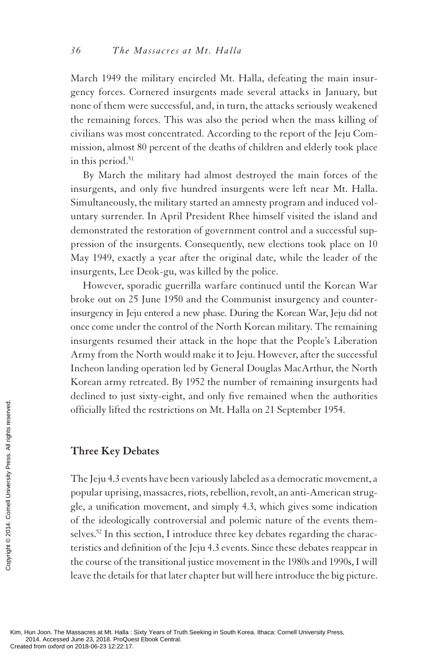March 1949 the military encircled Mt. Halla, defeating the main insurgency forces. Cornered insurgents made several attacks in January, but none of them were successful, and, in turn, the attacks seriously weakened the remaining forces. This was also the period when the mass killing of civilians was most concentrated. According to the report of the Jeju Commission, almost 80 percent of the deaths of children and elderly took place in this period.<sup>51</sup>

 By March the military had almost destroyed the main forces of the insurgents, and only five hundred insurgents were left near Mt. Halla. Simultaneously, the military started an amnesty program and induced voluntary surrender. In April President Rhee himself visited the island and demonstrated the restoration of government control and a successful suppression of the insurgents. Consequently, new elections took place on 10 May 1949, exactly a year after the original date, while the leader of the insurgents, Lee Deok-gu, was killed by the police.

 However, sporadic guerrilla warfare continued until the Korean War broke out on 25 June 1950 and the Communist insurgency and counter insurgency in Jeju entered a new phase. During the Korean War, Jeju did not once come under the control of the North Korean military. The remaining insurgents resumed their attack in the hope that the People's Liberation Army from the North would make it to Jeju. However, after the successful Incheon landing operation led by General Douglas MacArthur, the North Korean army retreated. By 1952 the number of remaining insurgents had declined to just sixty-eight, and only five remained when the authorities officially lifted the restrictions on Mt. Halla on 21 September 1954.

#### **Three Key Debates**

 The Jeju 4.3 events have been variously labeled as a democratic movement, a popular uprising, massacres, riots, rebellion, revolt, an anti-American struggle, a unification movement, and simply 4.3, which gives some indication of the ideologically controversial and polemic nature of the events themselves.<sup>52</sup> In this section, I introduce three key debates regarding the characteristics and definition of the Jeju 4.3 events. Since these debates reappear in the course of the transitional justice movement in the 1980s and 1990s, I will leave the details for that later chapter but will here introduce the big picture. Exerces of ficially lifted<br>
From Exerces Propular University<br>
The Jeju 4.3 everopeopular uprisin<br>
gle, a unification<br>
gle, a unification<br>
selves.<sup>52</sup> In this<br>
teristics and def<br>
the course of the<br>
leave the details<br>  $\frac{2$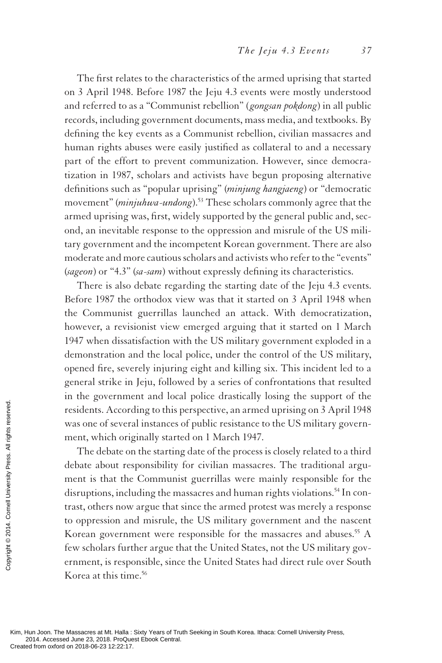The first relates to the characteristics of the armed uprising that started on 3 April 1948. Before 1987 the Jeju 4.3 events were mostly understood and referred to as a "Communist rebellion" (*gongsan pokdong*) in all public records, including government documents, mass media, and textbooks. By defining the key events as a Communist rebellion, civilian massacres and human rights abuses were easily justified as collateral to and a necessary part of the effort to prevent communization. However, since democratization in 1987, scholars and activists have begun proposing alternative definitions such as "popular uprising" (*minjung hangjaeng*) or "democratic movement" (*minjuhwa-undong*).<sup>53</sup> These scholars commonly agree that the armed uprising was, first, widely supported by the general public and, second, an inevitable response to the oppression and misrule of the US military government and the incompetent Korean government. There are also moderate and more cautious scholars and activists who refer to the "events" (sageon) or "4.3" (sa-sam) without expressly defining its characteristics.

 There is also debate regarding the starting date of the Jeju 4.3 events. Before 1987 the orthodox view was that it started on 3 April 1948 when the Communist guerrillas launched an attack. With democratization, however, a revisionist view emerged arguing that it started on 1 March 1947 when dissatisfaction with the US military government exploded in a demonstration and the local police, under the control of the US military, opened fire, severely injuring eight and killing six. This incident led to a general strike in Jeju, followed by a series of confrontations that resulted in the government and local police drastically losing the support of the residents. According to this perspective, an armed uprising on 3 April 1948 was one of several instances of public resistance to the US military government, which originally started on 1 March 1947.

 The debate on the starting date of the process is closely related to a third debate about responsibility for civilian massacres. The traditional argument is that the Communist guerrillas were mainly responsible for the disruptions, including the massacres and human rights violations.<sup>54</sup> In contrast, others now argue that since the armed protest was merely a response to oppression and misrule, the US military government and the nascent Korean government were responsible for the massacres and abuses.<sup>55</sup> A few scholars further argue that the United States, not the US military government, is responsible, since the United States had direct rule over South Korea at this time. 56 Exercise the correlation of the state of the state of the distruptions, included about reserved.<br>
The debate about reserved.<br>
The debate about reserved.<br>
The debate about reserved.<br>
The distruptions, included transferred.<br>